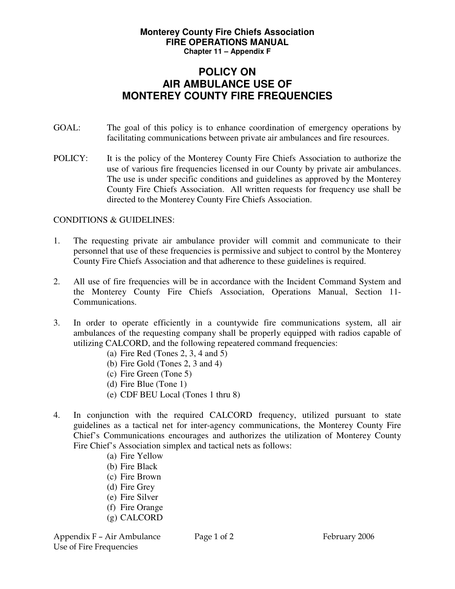## **Monterey County Fire Chiefs Association FIRE OPERATIONS MANUAL Chapter 11 – Appendix F**

## **POLICY ON AIR AMBULANCE USE OF MONTEREY COUNTY FIRE FREQUENCIES**

- GOAL: The goal of this policy is to enhance coordination of emergency operations by facilitating communications between private air ambulances and fire resources.
- POLICY: It is the policy of the Monterey County Fire Chiefs Association to authorize the use of various fire frequencies licensed in our County by private air ambulances. The use is under specific conditions and guidelines as approved by the Monterey County Fire Chiefs Association. All written requests for frequency use shall be directed to the Monterey County Fire Chiefs Association.

## CONDITIONS & GUIDELINES:

- 1. The requesting private air ambulance provider will commit and communicate to their personnel that use of these frequencies is permissive and subject to control by the Monterey County Fire Chiefs Association and that adherence to these guidelines is required.
- 2. All use of fire frequencies will be in accordance with the Incident Command System and the Monterey County Fire Chiefs Association, Operations Manual, Section 11- Communications.
- 3. In order to operate efficiently in a countywide fire communications system, all air ambulances of the requesting company shall be properly equipped with radios capable of utilizing CALCORD, and the following repeatered command frequencies:
	- (a) Fire Red (Tones 2, 3, 4 and 5)
	- (b) Fire Gold (Tones 2, 3 and 4)
	- (c) Fire Green (Tone 5)
	- (d) Fire Blue (Tone 1)
	- (e) CDF BEU Local (Tones 1 thru 8)
- 4. In conjunction with the required CALCORD frequency, utilized pursuant to state guidelines as a tactical net for inter-agency communications, the Monterey County Fire Chief's Communications encourages and authorizes the utilization of Monterey County Fire Chief's Association simplex and tactical nets as follows:
	- (a) Fire Yellow (b) Fire Black
	- (c) Fire Brown
	- (d) Fire Grey
	- (e) Fire Silver
	- (f) Fire Orange
	- (g) CALCORD

Appendix F – Air Ambulance Page 1 of 2 February 2006 Use of Fire Frequencies